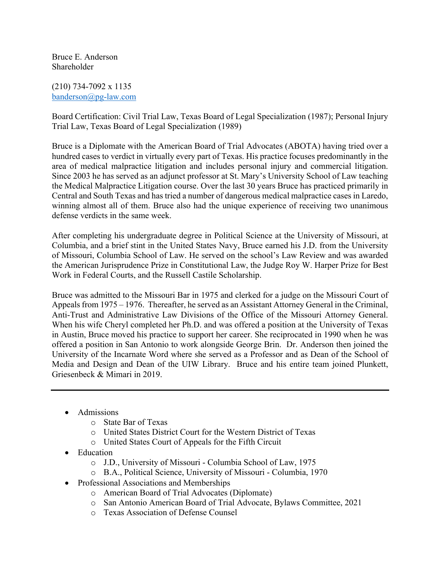Bruce E. Anderson Shareholder

(210) 734-7092 x 1135 banderson@pg-law.com

Board Certification: Civil Trial Law, Texas Board of Legal Specialization (1987); Personal Injury Trial Law, Texas Board of Legal Specialization (1989)

Bruce is a Diplomate with the American Board of Trial Advocates (ABOTA) having tried over a hundred cases to verdict in virtually every part of Texas. His practice focuses predominantly in the area of medical malpractice litigation and includes personal injury and commercial litigation. Since 2003 he has served as an adjunct professor at St. Mary's University School of Law teaching the Medical Malpractice Litigation course. Over the last 30 years Bruce has practiced primarily in Central and South Texas and has tried a number of dangerous medical malpractice cases in Laredo, winning almost all of them. Bruce also had the unique experience of receiving two unanimous defense verdicts in the same week.

After completing his undergraduate degree in Political Science at the University of Missouri, at Columbia, and a brief stint in the United States Navy, Bruce earned his J.D. from the University of Missouri, Columbia School of Law. He served on the school's Law Review and was awarded the American Jurisprudence Prize in Constitutional Law, the Judge Roy W. Harper Prize for Best Work in Federal Courts, and the Russell Castile Scholarship.

Bruce was admitted to the Missouri Bar in 1975 and clerked for a judge on the Missouri Court of Appeals from 1975 – 1976. Thereafter, he served as an Assistant Attorney General in the Criminal, Anti-Trust and Administrative Law Divisions of the Office of the Missouri Attorney General. When his wife Cheryl completed her Ph.D. and was offered a position at the University of Texas in Austin, Bruce moved his practice to support her career. She reciprocated in 1990 when he was offered a position in San Antonio to work alongside George Brin. Dr. Anderson then joined the University of the Incarnate Word where she served as a Professor and as Dean of the School of Media and Design and Dean of the UIW Library. Bruce and his entire team joined Plunkett, Griesenbeck & Mimari in 2019.

- Admissions
	- o State Bar of Texas
	- o United States District Court for the Western District of Texas
	- o United States Court of Appeals for the Fifth Circuit
- Education
	- o J.D., University of Missouri Columbia School of Law, 1975
	- o B.A., Political Science, University of Missouri Columbia, 1970
- Professional Associations and Memberships
	- o American Board of Trial Advocates (Diplomate)
	- o San Antonio American Board of Trial Advocate, Bylaws Committee, 2021
	- o Texas Association of Defense Counsel